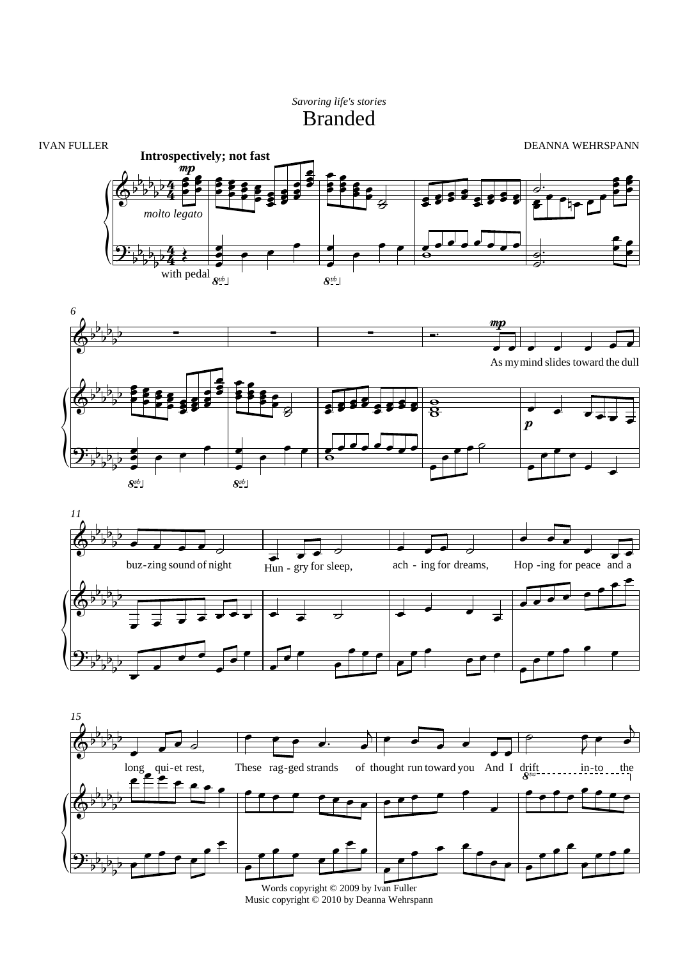## Branded *Savoring life's stories*









Words copyright © 2009 by Ivan Fuller Music copyright © 2010 by Deanna Wehrspann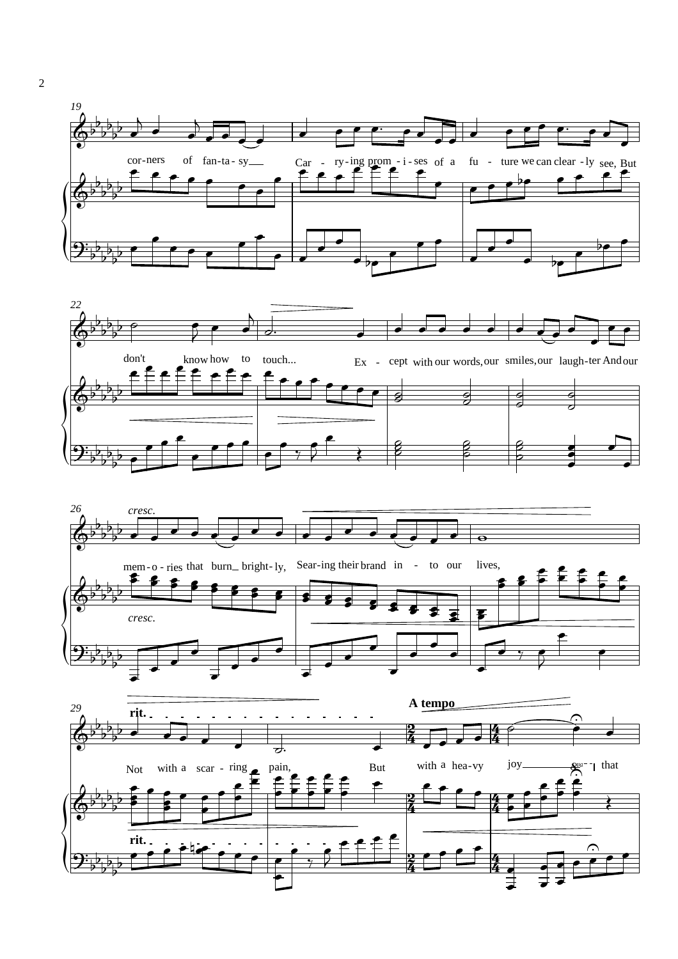